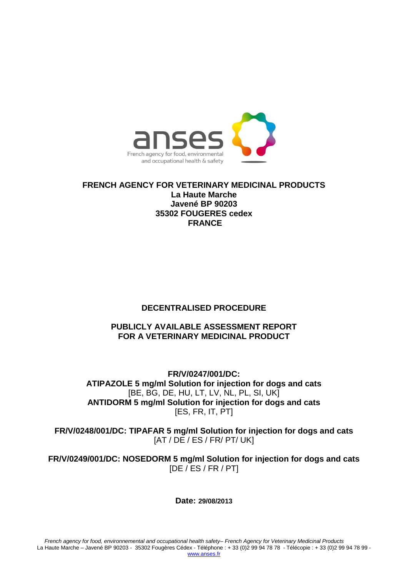

## **FRENCH AGENCY FOR VETERINARY MEDICINAL PRODUCTS La Haute Marche Javené BP 90203 35302 FOUGERES cedex FRANCE**

# **DECENTRALISED PROCEDURE**

# **PUBLICLY AVAILABLE ASSESSMENT REPORT FOR A VETERINARY MEDICINAL PRODUCT**

**FR/V/0247/001/DC: ATIPAZOLE 5 mg/ml Solution for injection for dogs and cats**  [BE, BG, DE, HU, LT, LV, NL, PL, SI, UK] **ANTIDORM 5 mg/ml Solution for injection for dogs and cats**  [ES, FR, IT, PT]

**FR/V/0248/001/DC: TIPAFAR 5 mg/ml Solution for injection for dogs and cats** [AT / DE / ES / FR/ PT/ UK]

**FR/V/0249/001/DC: NOSEDORM 5 mg/ml Solution for injection for dogs and cats** [DE / ES / FR / PT]

**Date: 29/08/2013**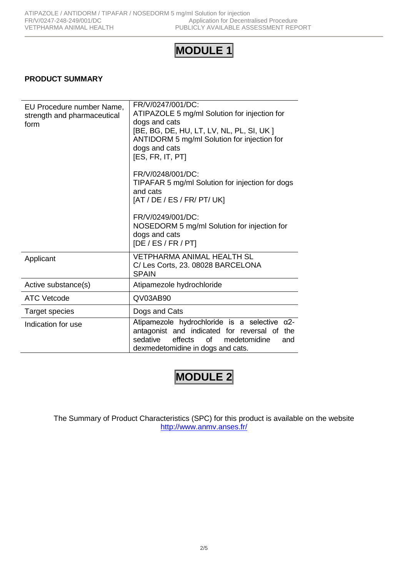# **MODULE 1**

## **PRODUCT SUMMARY**

| EU Procedure number Name,<br>strength and pharmaceutical<br>form | FR/V/0247/001/DC:<br>ATIPAZOLE 5 mg/ml Solution for injection for<br>dogs and cats<br>[BE, BG, DE, HU, LT, LV, NL, PL, SI, UK]<br>ANTIDORM 5 mg/ml Solution for injection for<br>dogs and cats<br>[ES, FR, IT, PT] |
|------------------------------------------------------------------|--------------------------------------------------------------------------------------------------------------------------------------------------------------------------------------------------------------------|
|                                                                  | FR/V/0248/001/DC:<br>TIPAFAR 5 mg/ml Solution for injection for dogs<br>and cats<br>[AT / DE / ES / FR / PT / UK]                                                                                                  |
|                                                                  | FR/V/0249/001/DC:<br>NOSEDORM 5 mg/ml Solution for injection for<br>dogs and cats<br>[DE / ES / FR / PT]                                                                                                           |
| Applicant                                                        | <b>VETPHARMA ANIMAL HEALTH SL</b><br>C/Les Corts, 23. 08028 BARCELONA<br><b>SPAIN</b>                                                                                                                              |
| Active substance(s)                                              | Atipamezole hydrochloride                                                                                                                                                                                          |
| <b>ATC Vetcode</b>                                               | QV03AB90                                                                                                                                                                                                           |
| <b>Target species</b>                                            | Dogs and Cats                                                                                                                                                                                                      |
| Indication for use                                               | Atipamezole hydrochloride is a selective $\alpha$ 2-<br>antagonist and indicated for reversal of the<br>sedative<br>effects<br>of medetomidine<br>and<br>dexmedetomidine in dogs and cats.                         |

# **MODULE 2**

The Summary of Product Characteristics (SPC) for this product is available on the website <http://www.anmv.anses.fr/>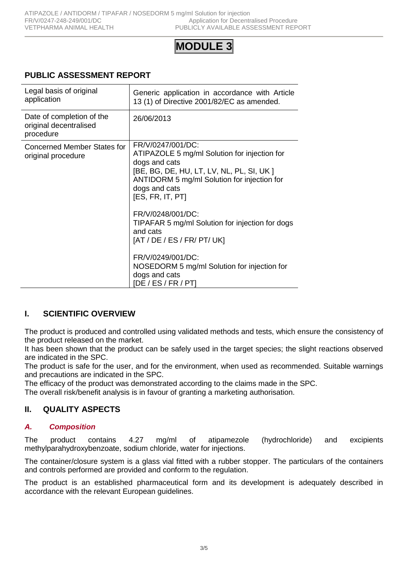# **MODULE 3**

# **PUBLIC ASSESSMENT REPORT**

| Legal basis of original<br>application                           | Generic application in accordance with Article<br>13 (1) of Directive 2001/82/EC as amended.                                                                                                                       |
|------------------------------------------------------------------|--------------------------------------------------------------------------------------------------------------------------------------------------------------------------------------------------------------------|
| Date of completion of the<br>original decentralised<br>procedure | 26/06/2013                                                                                                                                                                                                         |
| <b>Concerned Member States for</b><br>original procedure         | FR/V/0247/001/DC:<br>ATIPAZOLE 5 mg/ml Solution for injection for<br>dogs and cats<br>[BE, BG, DE, HU, LT, LV, NL, PL, SI, UK]<br>ANTIDORM 5 mg/ml Solution for injection for<br>dogs and cats<br>[ES, FR, IT, PT] |
|                                                                  | FR/V/0248/001/DC:<br>TIPAFAR 5 mg/ml Solution for injection for dogs<br>and cats<br>[AT / DE / ES / FR / PT / UK]                                                                                                  |
|                                                                  | FR/V/0249/001/DC:<br>NOSEDORM 5 mg/ml Solution for injection for<br>dogs and cats<br>[DE / ES / FR / PT]                                                                                                           |

# **I. SCIENTIFIC OVERVIEW**

The product is produced and controlled using validated methods and tests, which ensure the consistency of the product released on the market.

It has been shown that the product can be safely used in the target species; the slight reactions observed are indicated in the SPC.

The product is safe for the user, and for the environment, when used as recommended. Suitable warnings and precautions are indicated in the SPC.

The efficacy of the product was demonstrated according to the claims made in the SPC.

The overall risk/benefit analysis is in favour of granting a marketing authorisation.

## **II. QUALITY ASPECTS**

### *A. Composition*

The product contains 4.27 mg/ml of atipamezole (hydrochloride) and excipients methylparahydroxybenzoate, sodium chloride, water for injections.

The container/closure system is a glass vial fitted with a rubber stopper. The particulars of the containers and controls performed are provided and conform to the regulation.

The product is an established pharmaceutical form and its development is adequately described in accordance with the relevant European guidelines.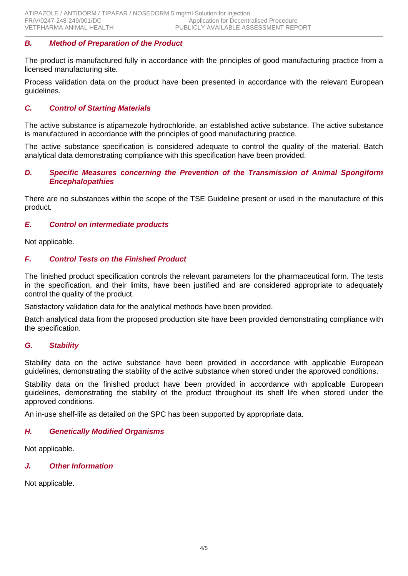## *B. Method of Preparation of the Product*

The product is manufactured fully in accordance with the principles of good manufacturing practice from a licensed manufacturing site*.*

Process validation data on the product have been presented in accordance with the relevant European guidelines.

### *C. Control of Starting Materials*

The active substance is atipamezole hydrochloride, an established active substance. The active substance is manufactured in accordance with the principles of good manufacturing practice.

The active substance specification is considered adequate to control the quality of the material. Batch analytical data demonstrating compliance with this specification have been provided.

### *D. Specific Measures concerning the Prevention of the Transmission of Animal Spongiform Encephalopathies*

There are no substances within the scope of the TSE Guideline present or used in the manufacture of this product*.*

### *E. Control on intermediate products*

Not applicable.

## *F. Control Tests on the Finished Product*

The finished product specification controls the relevant parameters for the pharmaceutical form. The tests in the specification, and their limits, have been justified and are considered appropriate to adequately control the quality of the product.

Satisfactory validation data for the analytical methods have been provided.

Batch analytical data from the proposed production site have been provided demonstrating compliance with the specification.

### *G. Stability*

Stability data on the active substance have been provided in accordance with applicable European guidelines, demonstrating the stability of the active substance when stored under the approved conditions.

Stability data on the finished product have been provided in accordance with applicable European guidelines, demonstrating the stability of the product throughout its shelf life when stored under the approved conditions.

An in-use shelf-life as detailed on the SPC has been supported by appropriate data.

### *H. Genetically Modified Organisms*

Not applicable.

### *J. Other Information*

Not applicable.